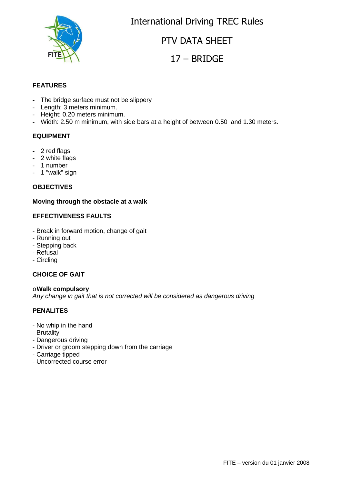

International Driving TREC Rules

# PTV DATA SHEET

## 17 – BRIDGE

## **FEATURES**

- The bridge surface must not be slippery
- Length: 3 meters minimum.
- Height: 0.20 meters minimum.
- Width: 2.50 m minimum, with side bars at a height of between 0.50 and 1.30 meters.

## **EQUIPMENT**

- 2 red flags
- 2 white flags
- 1 number
- 1 "walk" sign

## **OBJECTIVES**

#### **Moving through the obstacle at a walk**

## **EFFECTIVENESS FAULTS**

- Break in forward motion, change of gait
- Running out
- Stepping back
- Refusal
- Circling

#### **CHOICE OF GAIT**

o**Walk compulsory**  Any change in gait that is not corrected will be considered as dangerous driving

## **PENALITES**

- No whip in the hand
- Brutality
- Dangerous driving
- Driver or groom stepping down from the carriage
- Carriage tipped
- Uncorrected course error